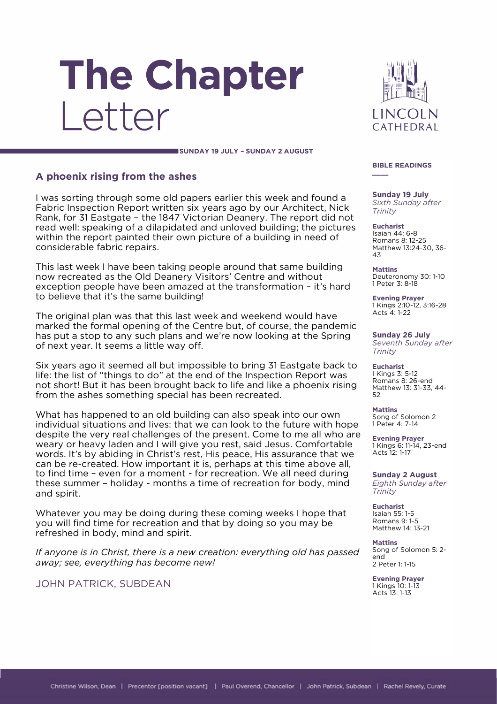# The Chapter Letter



**SUNDAY 19 JULY – SUNDAY 2 AUGUST**

## **A phoenix rising from the ashes**

I was sorting through some old papers earlier this week and found a Fabric Inspection Report written six years ago by our Architect, Nick Rank, for 31 Eastgate – the 1847 Victorian Deanery. The report did not read well: speaking of a dilapidated and unloved building; the pictures within the report painted their own picture of a building in need of considerable fabric repairs.

This last week I have been taking people around that same building now recreated as the Old Deanery Visitors' Centre and without exception people have been amazed at the transformation – it's hard to believe that it's the same building!

The original plan was that this last week and weekend would have marked the formal opening of the Centre but, of course, the pandemic has put a stop to any such plans and we're now looking at the Spring of next year. It seems a little way off.

Six years ago it seemed all but impossible to bring 31 Eastgate back to life: the list of "things to do" at the end of the Inspection Report was not short! But it has been brought back to life and like a phoenix rising from the ashes something special has been recreated.

What has happened to an old building can also speak into our own individual situations and lives: that we can look to the future with hope despite the very real challenges of the present. Come to me all who are weary or heavy laden and I will give you rest, said Jesus. Comfortable words. It's by abiding in Christ's rest, His peace, His assurance that we can be re-created. How important it is, perhaps at this time above all, to find time – even for a moment - for recreation. We all need during these summer – holiday - months a time of recreation for body, mind and spirit.

Whatever you may be doing during these coming weeks I hope that you will find time for recreation and that by doing so you may be refreshed in body, mind and spirit.

*If anyone is in Christ, there is a new creation: everything old has passed away; see, everything has become new!*

JOHN PATRICK, SUBDEAN

#### **BIBLE READINGS \_\_\_\_**

**Sunday 19 July** *Sixth Sunday after Trinity*

**Eucharist** Isaiah 44: 6-8 Romans 8: 12-25 Matthew 13:24-30, 36- 43

**Mattins** Deuteronomy 30: 1-10 1 Peter 3: 8-18

**Evening Prayer** 1 Kings 2:10-12, 3:16-28 Acts 4: 1-22

**Sunday 26 July** *Seventh Sunday after Trinity*

**Eucharist** I Kings 3: 5-12 Romans 8: 26-end Matthew 13: 31-33, 44- 52

**Mattins** Song of Solomon 2 1 Peter 4: 7-14

**Evening Prayer** 1 Kings 6: 11-14, 23-end Acts 12: 1-17

**Sunday 2 August** *Eighth Sunday after Trinity*

**Eucharist** Isaiah 55: 1-5 Romans 9: 1-5 Matthew 14: 13-21

**Mattins** Song of Solomon 5: 2 end 2 Peter 1: 1-15

**Evening Prayer** 1 Kings 10: 1-13 Acts 13: 1-13